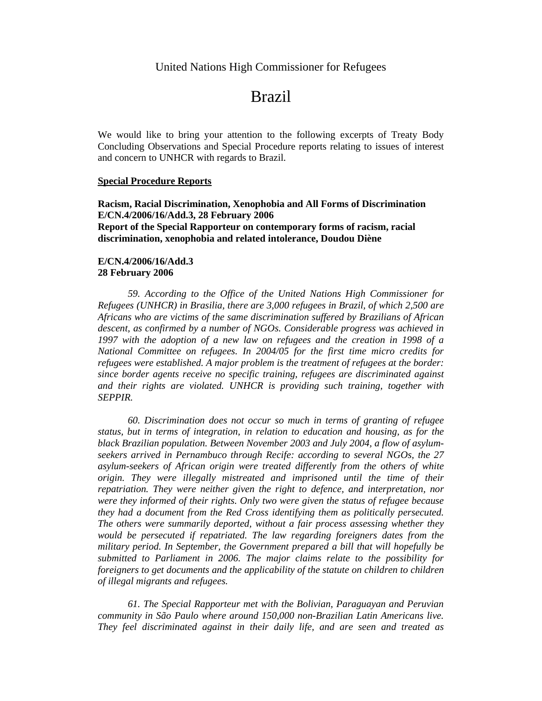## Brazil

We would like to bring your attention to the following excerpts of Treaty Body Concluding Observations and Special Procedure reports relating to issues of interest and concern to UNHCR with regards to Brazil.

## **Special Procedure Reports**

**Racism, Racial Discrimination, Xenophobia and All Forms of Discrimination E/CN.4/2006/16/Add.3, 28 February 2006 Report of the Special Rapporteur on contemporary forms of racism, racial discrimination, xenophobia and related intolerance, Doudou Diène** 

## **E/CN.4/2006/16/Add.3 28 February 2006**

*59. According to the Office of the United Nations High Commissioner for Refugees (UNHCR) in Brasilia, there are 3,000 refugees in Brazil, of which 2,500 are Africans who are victims of the same discrimination suffered by Brazilians of African descent, as confirmed by a number of NGOs. Considerable progress was achieved in 1997 with the adoption of a new law on refugees and the creation in 1998 of a National Committee on refugees. In 2004/05 for the first time micro credits for refugees were established. A major problem is the treatment of refugees at the border: since border agents receive no specific training, refugees are discriminated against and their rights are violated. UNHCR is providing such training, together with SEPPIR.* 

*60. Discrimination does not occur so much in terms of granting of refugee status, but in terms of integration, in relation to education and housing, as for the black Brazilian population. Between November 2003 and July 2004, a flow of asylumseekers arrived in Pernambuco through Recife: according to several NGOs, the 27 asylum-seekers of African origin were treated differently from the others of white origin. They were illegally mistreated and imprisoned until the time of their repatriation. They were neither given the right to defence, and interpretation, nor were they informed of their rights. Only two were given the status of refugee because they had a document from the Red Cross identifying them as politically persecuted. The others were summarily deported, without a fair process assessing whether they would be persecuted if repatriated. The law regarding foreigners dates from the military period. In September, the Government prepared a bill that will hopefully be submitted to Parliament in 2006. The major claims relate to the possibility for foreigners to get documents and the applicability of the statute on children to children of illegal migrants and refugees.* 

*61. The Special Rapporteur met with the Bolivian, Paraguayan and Peruvian community in São Paulo where around 150,000 non-Brazilian Latin Americans live. They feel discriminated against in their daily life, and are seen and treated as*